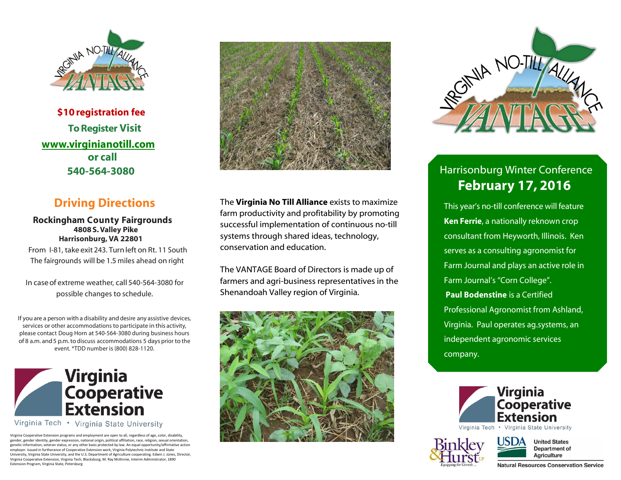

 **\$10 registration fee To Register Visit [www.virginianotill.com](http://www.virginianotill.com/) or call 540-564-3080**

## **Driving Directions**

#### **Rockingham County Fairgrounds 4808S.Valley Pike Harrisonburg, VA 22801**

From I-81, take exit 243. Turnleft on Rt. 11 South The fairgrounds will be 1.5 miles ahead on right

In caseof extreme weather, call 540-564-3080 for possible changes to schedule.

If you are a person with a disability and desire any assistive devices, services or other accommodations to participate in this activity, please contact Doug Horn at 540-564-3080 during business hours of 8 a.m. and 5 p.m. to discuss accommodations 5 days prior to the event. \*TDD number is (800) 828-1120.



Virginia Tech • Virginia State University

Virginia Cooperative Extension programs and employment are open to all, regardless of age, color, disability, gender, gender identity, gender expression, national origin, political affiliation, race, religion, sexual orientation, genetic information, veteran status, or any other basis protected by law. An equal opportunity/affirmative action employer. Issued in furtherance of Cooperative Extension work, Virginia Polytechnic Institute and State University, Virginia State University, and the U.S. Department of Agriculture cooperating. Edwin J. Jones, Director, Virginia Cooperative Extension, Virginia Tech, Blacksburg; M. Ray McKinnie, Interim Administrator, 1890 Extension Program, Virginia State, Petersburg



The **Virginia No Till Alliance** exists to maximize farm productivity and profitability by promoting successful implementation of continuous no-till systems through shared ideas, technology, conservation and education.

The VANTAGE Board of Directors is made up of farmers and agri-business representatives in the Shenandoah Valley region of Virginia.





# Harrisonburg Winter Conference **February 17, 2016**

This year's no-till conference will feature **Ken Ferrie**, a nationally reknown crop consultant from Heyworth, Illinois. Ken serves as a consulting agronomist for Farm Journal and plays an active role in Farm Journal's "Corn College". **Paul Bodenstine** is a Certified Professional Agronomist from Ashland, Virginia. Paul operates ag.systems, an independent agronomic services company.







**Natural Resources Conservation Service**